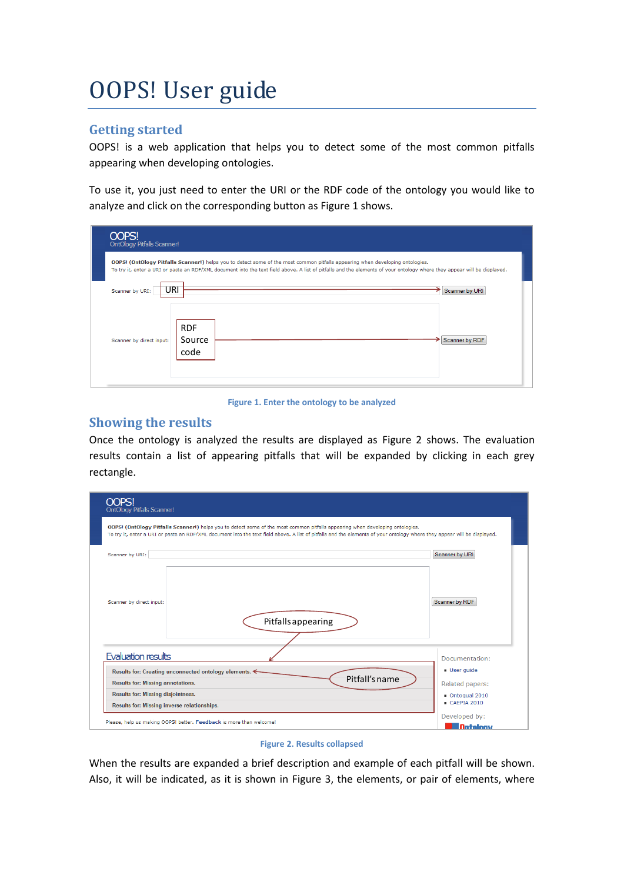# OOPS! User guide

## **Getting started**

OOPS! is a web application that helps you to detect some of the most common pitfalls appearing when developing ontologies.

To use it, you just need to enter the URI or the RDF code of the ontology you would like to analyze and click on the corresponding button as [Figure 1](#page-0-0) shows.

| <b>OOPS!</b><br><b>OntOlogy Pitfalls Scanner!</b>                                                                                                                                                                                                                                                                |                              |                |  |  |  |
|------------------------------------------------------------------------------------------------------------------------------------------------------------------------------------------------------------------------------------------------------------------------------------------------------------------|------------------------------|----------------|--|--|--|
| <b>OOPS!</b> (OntOlogy Pitfalls Scanner!) helps you to detect some of the most common pitfalls appearing when developing ontologies.<br>To try it, enter a URI or paste an RDF/XML document into the text field above. A list of pitfalls and the elements of your ontology where they appear will be displayed. |                              |                |  |  |  |
| URI<br>Scanner by URI:                                                                                                                                                                                                                                                                                           | →                            | Scanner by URI |  |  |  |
| Scanner by direct input:                                                                                                                                                                                                                                                                                         | <b>RDF</b><br>Source<br>code | Scanner by RDF |  |  |  |

**Figure 1. Enter the ontology to be analyzed**

### <span id="page-0-0"></span>**Showing the results**

Once the ontology is analyzed the results are displayed as [Figure 2](#page-0-1) shows. The evaluation results contain a list of appearing pitfalls that will be expanded by clicking in each grey rectangle.

| OOPS!<br>OntOlogy Pitfalls Scanner!                                 |                                                                                                                                                                                                                                                                                                                  |                                  |
|---------------------------------------------------------------------|------------------------------------------------------------------------------------------------------------------------------------------------------------------------------------------------------------------------------------------------------------------------------------------------------------------|----------------------------------|
|                                                                     | <b>OOPS!</b> (OntOlogy Pitfalls Scanner!) helps you to detect some of the most common pitfalls appearing when developing ontologies.<br>To try it, enter a URI or paste an RDF/XML document into the text field above. A list of pitfalls and the elements of your ontology where they appear will be displayed. |                                  |
| Scanner by URI:                                                     |                                                                                                                                                                                                                                                                                                                  | Scanner by URI                   |
| Scanner by direct input:                                            | Pitfalls appearing                                                                                                                                                                                                                                                                                               | Scanner by RDF                   |
| Evaluation results                                                  |                                                                                                                                                                                                                                                                                                                  | Documentation:                   |
| Results for: Creating unconnected ontology elements. ←              |                                                                                                                                                                                                                                                                                                                  | <b>User quide</b>                |
| <b>Results for: Missing annotations.</b>                            | Pitfall's name                                                                                                                                                                                                                                                                                                   | Related papers:                  |
| <b>Results for: Missing disjointness.</b>                           | Ontoqual 2010                                                                                                                                                                                                                                                                                                    |                                  |
| Results for: Missing inverse relationships.                         |                                                                                                                                                                                                                                                                                                                  | CAFPIA 2010                      |
| Please, help us making OOPS! better. Feedback is more than welcome! |                                                                                                                                                                                                                                                                                                                  | Developed by:<br><b>Ontology</b> |



<span id="page-0-1"></span>When the results are expanded a brief description and example of each pitfall will be shown. Also, it will be indicated, as it is shown in [Figure 3,](#page-1-0) the elements, or pair of elements, where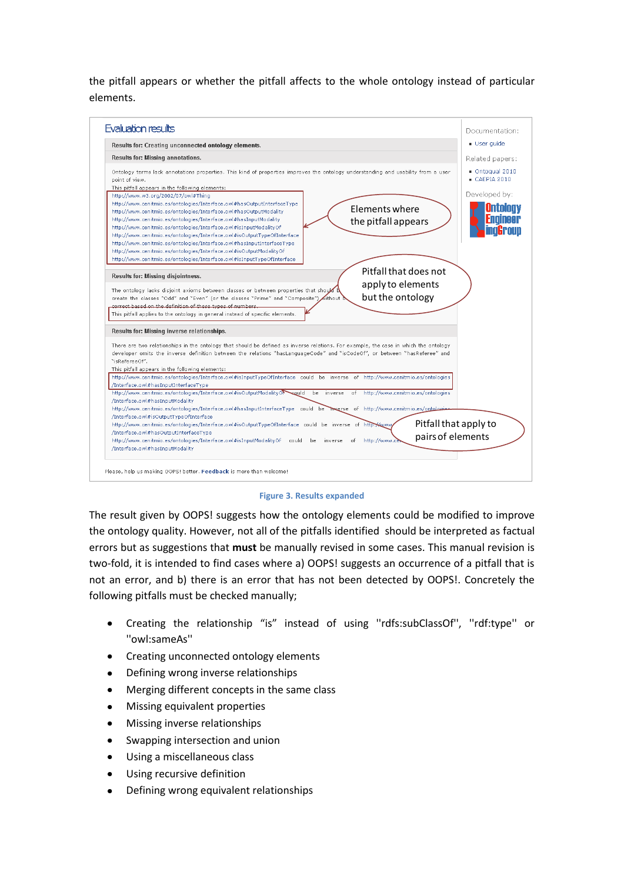the pitfall appears or whether the pitfall affects to the whole ontology instead of particular elements.



#### **Figure 3. Results expanded**

<span id="page-1-0"></span>The result given by OOPS! suggests how the ontology elements could be modified to improve the ontology quality. However, not all of the pitfalls identified should be interpreted as factual errors but as suggestions that **must** be manually revised in some cases. This manual revision is two-fold, it is intended to find cases where a) OOPS! suggests an occurrence of a pitfall that is not an error, and b) there is an error that has not been detected by OOPS!. Concretely the following pitfalls must be checked manually;

- Creating the relationship "is" instead of using ''rdfs:subClassOf'', ''rdf:type'' or ''owl:sameAs''
- Creating unconnected ontology elements  $\bullet$
- Defining wrong inverse relationships
- Merging different concepts in the same class  $\bullet$
- Missing equivalent properties
- Missing inverse relationships
- Swapping intersection and union
- Using a miscellaneous class
- Using recursive definition
- Defining wrong equivalent relationships